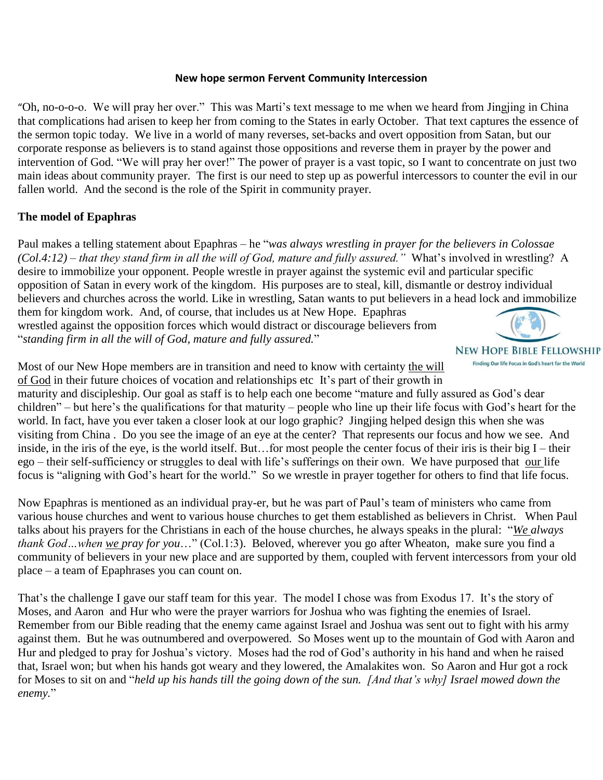## **New hope sermon Fervent Community Intercession**

"Oh, no-o-o-o. We will pray her over." This was Marti's text message to me when we heard from Jingjing in China that complications had arisen to keep her from coming to the States in early October. That text captures the essence of the sermon topic today. We live in a world of many reverses, set-backs and overt opposition from Satan, but our corporate response as believers is to stand against those oppositions and reverse them in prayer by the power and intervention of God. "We will pray her over!" The power of prayer is a vast topic, so I want to concentrate on just two main ideas about community prayer. The first is our need to step up as powerful intercessors to counter the evil in our fallen world. And the second is the role of the Spirit in community prayer.

## **The model of Epaphras**

Paul makes a telling statement about Epaphras – he "*was always wrestling in prayer for the believers in Colossae (Col.4:12) – that they stand firm in all the will of God, mature and fully assured."* What's involved in wrestling? A desire to immobilize your opponent. People wrestle in prayer against the systemic evil and particular specific opposition of Satan in every work of the kingdom. His purposes are to steal, kill, dismantle or destroy individual believers and churches across the world. Like in wrestling, Satan wants to put believers in a head lock and immobilize them for kingdom work. And, of course, that includes us at New Hope. Epaphras wrestled against the opposition forces which would distract or discourage believers from "*standing firm in all the will of God, mature and fully assured.*"



Finding Our life Focus in God's heart for the World

Most of our New Hope members are in transition and need to know with certainty the will of God in their future choices of vocation and relationships etc It's part of their growth in

maturity and discipleship. Our goal as staff is to help each one become "mature and fully assured as God's dear children" – but here's the qualifications for that maturity – people who line up their life focus with God's heart for the world. In fact, have you ever taken a closer look at our logo graphic? Jingjing helped design this when she was visiting from China . Do you see the image of an eye at the center? That represents our focus and how we see. And inside, in the iris of the eye, is the world itself. But…for most people the center focus of their iris is their big  $I$  – their ego – their self-sufficiency or struggles to deal with life's sufferings on their own. We have purposed that our life focus is "aligning with God's heart for the world." So we wrestle in prayer together for others to find that life focus.

Now Epaphras is mentioned as an individual pray-er, but he was part of Paul's team of ministers who came from various house churches and went to various house churches to get them established as believers in Christ. When Paul talks about his prayers for the Christians in each of the house churches, he always speaks in the plural: "*We always thank God…when we pray for you*…" (Col.1:3). Beloved, wherever you go after Wheaton, make sure you find a community of believers in your new place and are supported by them, coupled with fervent intercessors from your old place – a team of Epaphrases you can count on.

That's the challenge I gave our staff team for this year. The model I chose was from Exodus 17. It's the story of Moses, and Aaron and Hur who were the prayer warriors for Joshua who was fighting the enemies of Israel. Remember from our Bible reading that the enemy came against Israel and Joshua was sent out to fight with his army against them. But he was outnumbered and overpowered. So Moses went up to the mountain of God with Aaron and Hur and pledged to pray for Joshua's victory. Moses had the rod of God's authority in his hand and when he raised that, Israel won; but when his hands got weary and they lowered, the Amalakites won. So Aaron and Hur got a rock for Moses to sit on and "*held up his hands till the going down of the sun. [And that's why] Israel mowed down the enemy.*"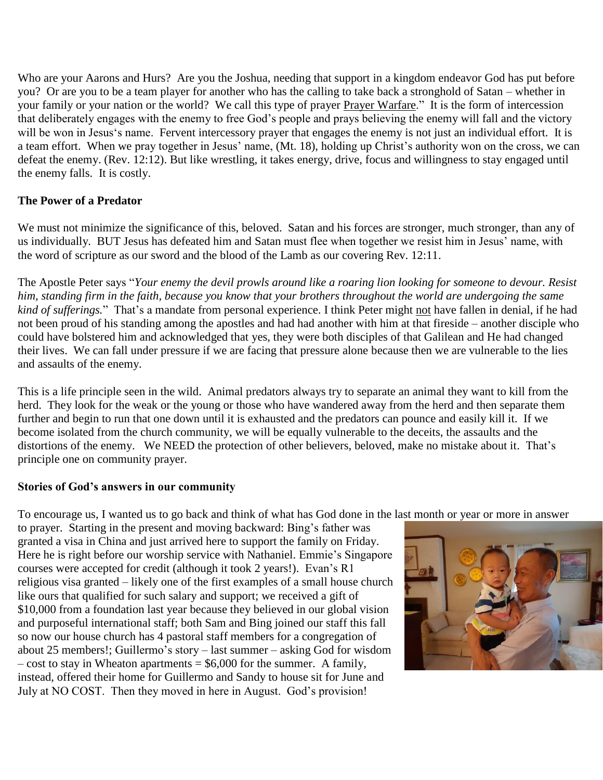Who are your Aarons and Hurs? Are you the Joshua, needing that support in a kingdom endeavor God has put before you? Or are you to be a team player for another who has the calling to take back a stronghold of Satan – whether in your family or your nation or the world? We call this type of prayer Prayer Warfare." It is the form of intercession that deliberately engages with the enemy to free God's people and prays believing the enemy will fall and the victory will be won in Jesus's name. Fervent intercessory prayer that engages the enemy is not just an individual effort. It is a team effort. When we pray together in Jesus' name, (Mt. 18), holding up Christ's authority won on the cross, we can defeat the enemy. (Rev. 12:12). But like wrestling, it takes energy, drive, focus and willingness to stay engaged until the enemy falls. It is costly.

## **The Power of a Predator**

We must not minimize the significance of this, beloved. Satan and his forces are stronger, much stronger, than any of us individually. BUT Jesus has defeated him and Satan must flee when together we resist him in Jesus' name, with the word of scripture as our sword and the blood of the Lamb as our covering Rev. 12:11.

The Apostle Peter says "*Your enemy the devil prowls around like a roaring lion looking for someone to devour. Resist him, standing firm in the faith, because you know that your brothers throughout the world are undergoing the same kind of sufferings.*" That's a mandate from personal experience. I think Peter might not have fallen in denial, if he had not been proud of his standing among the apostles and had had another with him at that fireside – another disciple who could have bolstered him and acknowledged that yes, they were both disciples of that Galilean and He had changed their lives. We can fall under pressure if we are facing that pressure alone because then we are vulnerable to the lies and assaults of the enemy.

This is a life principle seen in the wild. Animal predators always try to separate an animal they want to kill from the herd. They look for the weak or the young or those who have wandered away from the herd and then separate them further and begin to run that one down until it is exhausted and the predators can pounce and easily kill it. If we become isolated from the church community, we will be equally vulnerable to the deceits, the assaults and the distortions of the enemy. We NEED the protection of other believers, beloved, make no mistake about it. That's principle one on community prayer.

## **Stories of God's answers in our community**

To encourage us, I wanted us to go back and think of what has God done in the last month or year or more in answer

to prayer. Starting in the present and moving backward: Bing's father was granted a visa in China and just arrived here to support the family on Friday. Here he is right before our worship service with Nathaniel. Emmie's Singapore courses were accepted for credit (although it took 2 years!). Evan's R1 religious visa granted – likely one of the first examples of a small house church like ours that qualified for such salary and support; we received a gift of \$10,000 from a foundation last year because they believed in our global vision and purposeful international staff; both Sam and Bing joined our staff this fall so now our house church has 4 pastoral staff members for a congregation of about 25 members!; Guillermo's story – last summer – asking God for wisdom  $-$  cost to stay in Wheaton apartments  $=$  \$6,000 for the summer. A family, instead, offered their home for Guillermo and Sandy to house sit for June and July at NO COST. Then they moved in here in August. God's provision!

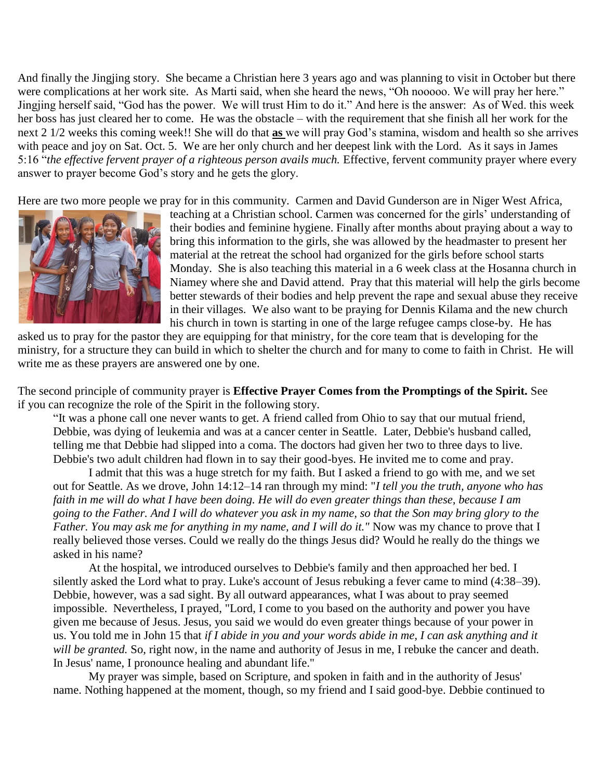And finally the Jingjing story. She became a Christian here 3 years ago and was planning to visit in October but there were complications at her work site. As Marti said, when she heard the news, "Oh nooooo. We will pray her here." Jingjing herself said, "God has the power. We will trust Him to do it." And here is the answer: As of Wed. this week her boss has just cleared her to come. He was the obstacle – with the requirement that she finish all her work for the next 2 1/2 weeks this coming week!! She will do that **as** we will pray God's stamina, wisdom and health so she arrives with peace and joy on Sat. Oct. 5. We are her only church and her deepest link with the Lord. As it says in James 5:16 "*the effective fervent prayer of a righteous person avails much.* Effective, fervent community prayer where every answer to prayer become God's story and he gets the glory.

Here are two more people we pray for in this community. Carmen and David Gunderson are in Niger West Africa,



teaching at a Christian school. Carmen was concerned for the girls' understanding of their bodies and feminine hygiene. Finally after months about praying about a way to bring this information to the girls, she was allowed by the headmaster to present her material at the retreat the school had organized for the girls before school starts Monday. She is also teaching this material in a 6 week class at the Hosanna church in Niamey where she and David attend. Pray that this material will help the girls become better stewards of their bodies and help prevent the rape and sexual abuse they receive in their villages. We also want to be praying for Dennis Kilama and the new church his church in town is starting in one of the large refugee camps close-by. He has

asked us to pray for the pastor they are equipping for that ministry, for the core team that is developing for the ministry, for a structure they can build in which to shelter the church and for many to come to faith in Christ. He will write me as these prayers are answered one by one.

The second principle of community prayer is **Effective Prayer Comes from the Promptings of the Spirit.** See if you can recognize the role of the Spirit in the following story.

"It was a phone call one never wants to get. A friend called from Ohio to say that our mutual friend, Debbie, was dying of leukemia and was at a cancer center in Seattle. Later, Debbie's husband called, telling me that Debbie had slipped into a coma. The doctors had given her two to three days to live. Debbie's two adult children had flown in to say their good-byes. He invited me to come and pray.

I admit that this was a huge stretch for my faith. But I asked a friend to go with me, and we set out for Seattle. As we drove, John 14:12–14 ran through my mind: "*I tell you the truth, anyone who has faith in me will do what I have been doing. He will do even greater things than these, because I am going to the Father. And I will do whatever you ask in my name, so that the Son may bring glory to the Father. You may ask me for anything in my name, and I will do it."* Now was my chance to prove that I really believed those verses. Could we really do the things Jesus did? Would he really do the things we asked in his name?

At the hospital, we introduced ourselves to Debbie's family and then approached her bed. I silently asked the Lord what to pray. Luke's account of Jesus rebuking a fever came to mind (4:38–39). Debbie, however, was a sad sight. By all outward appearances, what  $\overline{I}$  was about to pray seemed impossible. Nevertheless, I prayed, "Lord, I come to you based on the authority and power you have given me because of Jesus. Jesus, you said we would do even greater things because of your power in us. You told me in John 15 that *if I abide in you and your words abide in me, I can ask anything and it will be granted.* So, right now, in the name and authority of Jesus in me, I rebuke the cancer and death. In Jesus' name, I pronounce healing and abundant life."

My prayer was simple, based on Scripture, and spoken in faith and in the authority of Jesus' name. Nothing happened at the moment, though, so my friend and I said good-bye. Debbie continued to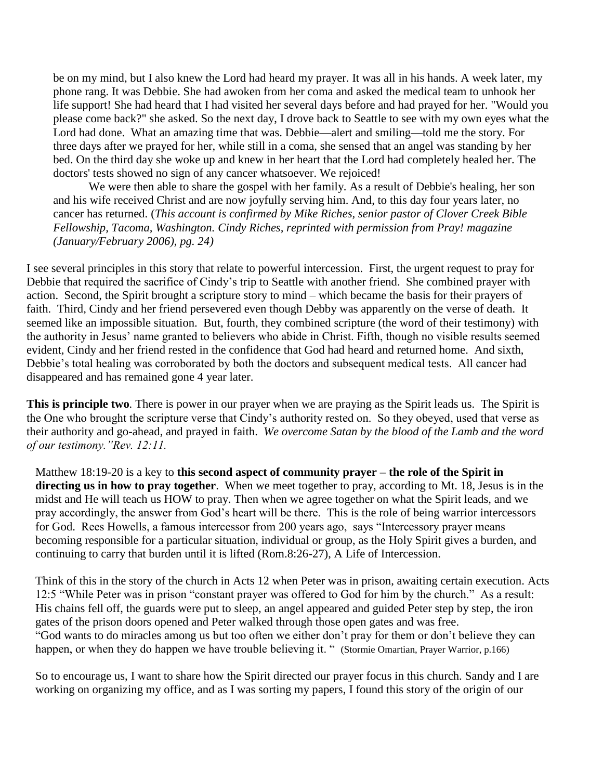be on my mind, but I also knew the Lord had heard my prayer. It was all in his hands. A week later, my phone rang. It was Debbie. She had awoken from her coma and asked the medical team to unhook her life support! She had heard that I had visited her several days before and had prayed for her. "Would you please come back?" she asked. So the next day, I drove back to Seattle to see with my own eyes what the Lord had done. What an amazing time that was. Debbie—alert and smiling—told me the story. For three days after we prayed for her, while still in a coma, she sensed that an angel was standing by her bed. On the third day she woke up and knew in her heart that the Lord had completely healed her. The doctors' tests showed no sign of any cancer whatsoever. We rejoiced!

We were then able to share the gospel with her family. As a result of Debbie's healing, her son and his wife received Christ and are now joyfully serving him. And, to this day four years later, no cancer has returned. (*This account is confirmed by Mike Riches, senior pastor of Clover Creek Bible Fellowship, Tacoma, Washington. Cindy Riches, reprinted with permission from Pray! magazine (January/February 2006), pg. 24)*

I see several principles in this story that relate to powerful intercession. First, the urgent request to pray for Debbie that required the sacrifice of Cindy's trip to Seattle with another friend. She combined prayer with action. Second, the Spirit brought a scripture story to mind – which became the basis for their prayers of faith. Third, Cindy and her friend persevered even though Debby was apparently on the verse of death. It seemed like an impossible situation. But, fourth, they combined scripture (the word of their testimony) with the authority in Jesus' name granted to believers who abide in Christ. Fifth, though no visible results seemed evident, Cindy and her friend rested in the confidence that God had heard and returned home. And sixth, Debbie's total healing was corroborated by both the doctors and subsequent medical tests. All cancer had disappeared and has remained gone 4 year later.

**This is principle two***.* There is power in our prayer when we are praying as the Spirit leads us. The Spirit is the One who brought the scripture verse that Cindy's authority rested on. So they obeyed, used that verse as their authority and go-ahead, and prayed in faith. *We overcome Satan by the blood of the Lamb and the word of our testimony."Rev. 12:11.*

Matthew 18:19-20 is a key to **this second aspect of community prayer – the role of the Spirit in directing us in how to pray together**. When we meet together to pray, according to Mt. 18, Jesus is in the midst and He will teach us HOW to pray. Then when we agree together on what the Spirit leads, and we pray accordingly, the answer from God's heart will be there. This is the role of being warrior intercessors for God. Rees Howells, a famous intercessor from 200 years ago, says "Intercessory prayer means becoming responsible for a particular situation, individual or group, as the Holy Spirit gives a burden, and continuing to carry that burden until it is lifted (Rom.8:26-27), A Life of Intercession.

Think of this in the story of the church in Acts 12 when Peter was in prison, awaiting certain execution. Acts 12:5 "While Peter was in prison "constant prayer was offered to God for him by the church." As a result: His chains fell off, the guards were put to sleep, an angel appeared and guided Peter step by step, the iron gates of the prison doors opened and Peter walked through those open gates and was free. "God wants to do miracles among us but too often we either don't pray for them or don't believe they can happen, or when they do happen we have trouble believing it. " (Stormie Omartian, Prayer Warrior, p.166)

So to encourage us, I want to share how the Spirit directed our prayer focus in this church. Sandy and I are working on organizing my office, and as I was sorting my papers, I found this story of the origin of our